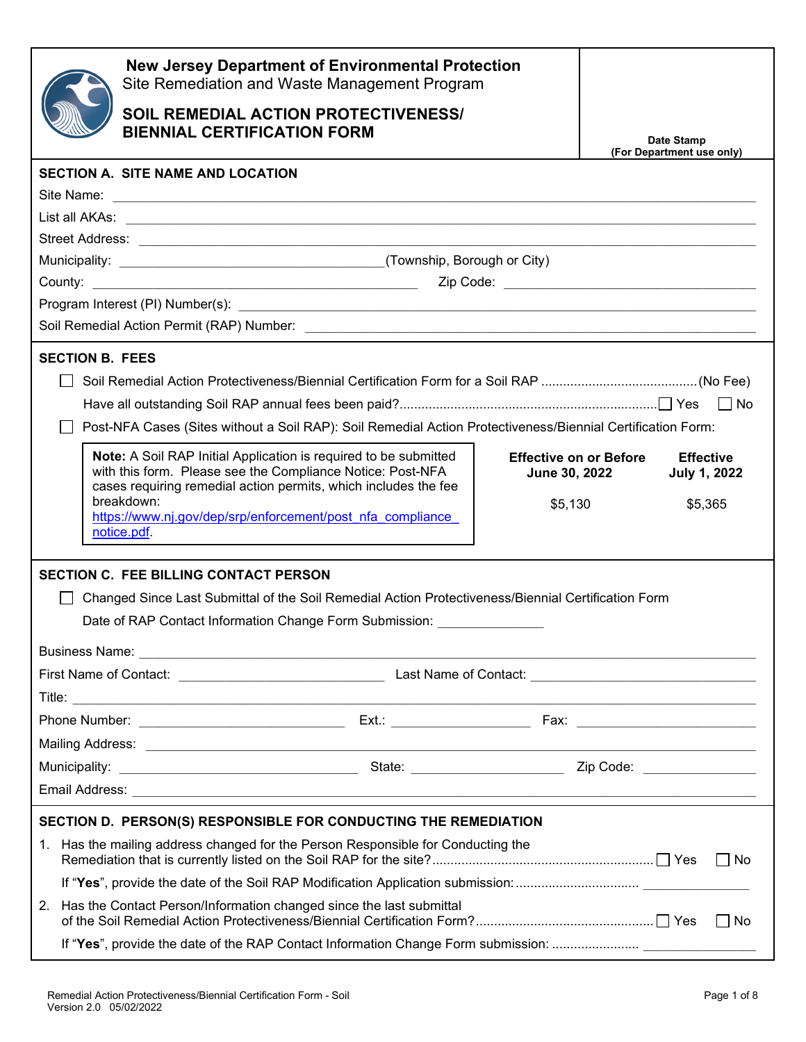|                                                                 | <b>New Jersey Department of Environmental Protection</b><br>Site Remediation and Waste Management Program                                                                                         |                                             |                               |                      |                                         |           |
|-----------------------------------------------------------------|---------------------------------------------------------------------------------------------------------------------------------------------------------------------------------------------------|---------------------------------------------|-------------------------------|----------------------|-----------------------------------------|-----------|
|                                                                 |                                                                                                                                                                                                   | <b>SOIL REMEDIAL ACTION PROTECTIVENESS/</b> |                               |                      |                                         |           |
|                                                                 | <b>BIENNIAL CERTIFICATION FORM</b>                                                                                                                                                                |                                             |                               |                      | Date Stamp<br>(For Department use only) |           |
|                                                                 | <b>SECTION A. SITE NAME AND LOCATION</b>                                                                                                                                                          |                                             |                               |                      |                                         |           |
|                                                                 |                                                                                                                                                                                                   |                                             |                               |                      |                                         |           |
|                                                                 |                                                                                                                                                                                                   |                                             |                               |                      |                                         |           |
|                                                                 |                                                                                                                                                                                                   |                                             |                               |                      |                                         |           |
|                                                                 |                                                                                                                                                                                                   |                                             |                               |                      |                                         |           |
|                                                                 |                                                                                                                                                                                                   |                                             |                               |                      |                                         |           |
|                                                                 |                                                                                                                                                                                                   |                                             |                               |                      |                                         |           |
|                                                                 |                                                                                                                                                                                                   |                                             |                               |                      |                                         |           |
| <b>SECTION B. FEES</b>                                          |                                                                                                                                                                                                   |                                             |                               |                      |                                         |           |
|                                                                 |                                                                                                                                                                                                   |                                             |                               |                      |                                         |           |
|                                                                 |                                                                                                                                                                                                   |                                             |                               |                      |                                         |           |
|                                                                 | Post-NFA Cases (Sites without a Soil RAP): Soil Remedial Action Protectiveness/Biennial Certification Form:                                                                                       |                                             |                               |                      |                                         |           |
|                                                                 | Note: A Soil RAP Initial Application is required to be submitted<br>with this form. Please see the Compliance Notice: Post-NFA<br>cases requiring remedial action permits, which includes the fee |                                             | <b>Effective on or Before</b> | <b>June 30, 2022</b> | <b>Effective</b><br><b>July 1, 2022</b> |           |
|                                                                 | breakdown:<br>https://www.nj.gov/dep/srp/enforcement/post_nfa_compliance_<br>notice.pdf.                                                                                                          |                                             | \$5,130                       |                      | \$5,365                                 |           |
|                                                                 | <b>SECTION C. FEE BILLING CONTACT PERSON</b>                                                                                                                                                      |                                             |                               |                      |                                         |           |
|                                                                 | Changed Since Last Submittal of the Soil Remedial Action Protectiveness/Biennial Certification Form                                                                                               |                                             |                               |                      |                                         |           |
|                                                                 | Date of RAP Contact Information Change Form Submission:                                                                                                                                           |                                             |                               |                      |                                         |           |
|                                                                 |                                                                                                                                                                                                   |                                             |                               |                      |                                         |           |
|                                                                 |                                                                                                                                                                                                   |                                             |                               |                      |                                         |           |
|                                                                 |                                                                                                                                                                                                   |                                             |                               |                      |                                         |           |
|                                                                 |                                                                                                                                                                                                   |                                             |                               |                      |                                         |           |
|                                                                 |                                                                                                                                                                                                   |                                             |                               |                      |                                         |           |
|                                                                 |                                                                                                                                                                                                   |                                             |                               |                      |                                         |           |
|                                                                 |                                                                                                                                                                                                   |                                             |                               |                      |                                         |           |
| SECTION D. PERSON(S) RESPONSIBLE FOR CONDUCTING THE REMEDIATION |                                                                                                                                                                                                   |                                             |                               |                      |                                         |           |
|                                                                 | 1. Has the mailing address changed for the Person Responsible for Conducting the                                                                                                                  |                                             |                               |                      | l INo                                   |           |
|                                                                 | If "Yes", provide the date of the Soil RAP Modification Application submission:                                                                                                                   |                                             |                               |                      |                                         |           |
| 2.                                                              | Has the Contact Person/Information changed since the last submittal                                                                                                                               |                                             |                               |                      |                                         | $\Box$ No |
|                                                                 |                                                                                                                                                                                                   |                                             |                               |                      |                                         |           |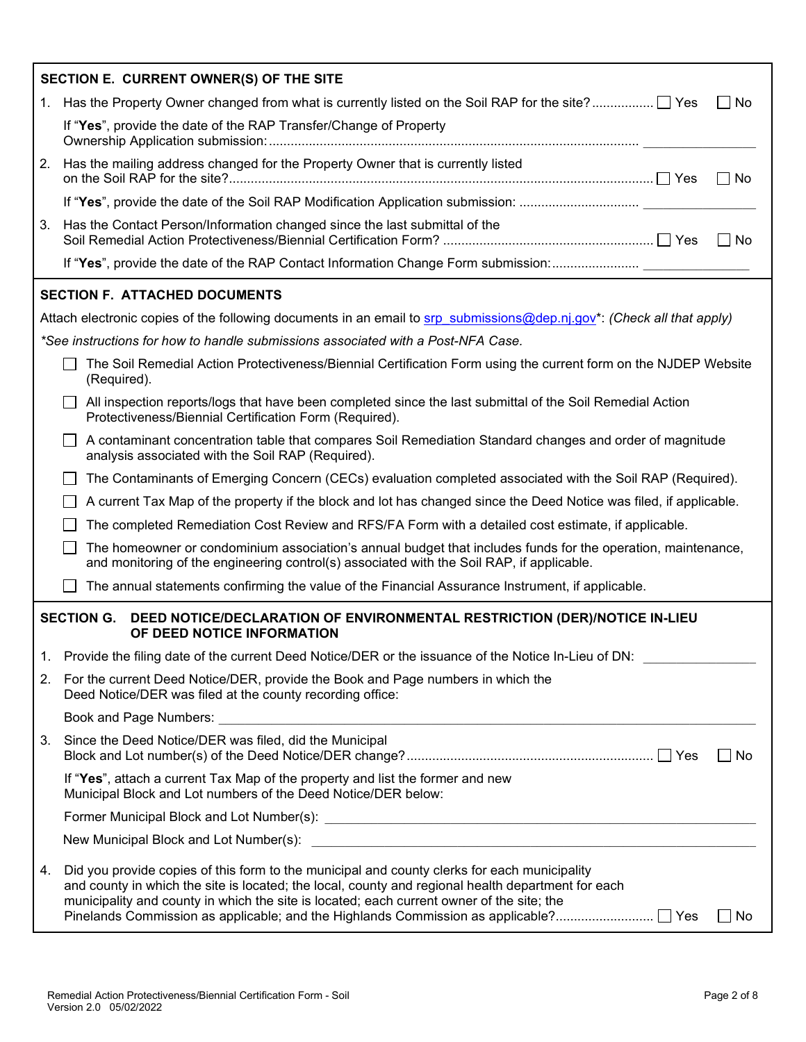|    | SECTION E. CURRENT OWNER(S) OF THE SITE                                                                                                                                                                                                                                                                                                                                                               |
|----|-------------------------------------------------------------------------------------------------------------------------------------------------------------------------------------------------------------------------------------------------------------------------------------------------------------------------------------------------------------------------------------------------------|
|    | 1. Has the Property Owner changed from what is currently listed on the Soil RAP for the site? TYes<br>$\Box$ No                                                                                                                                                                                                                                                                                       |
|    | If "Yes", provide the date of the RAP Transfer/Change of Property                                                                                                                                                                                                                                                                                                                                     |
| 2. | Has the mailing address changed for the Property Owner that is currently listed<br>  No                                                                                                                                                                                                                                                                                                               |
|    | If "Yes", provide the date of the Soil RAP Modification Application submission:                                                                                                                                                                                                                                                                                                                       |
| 3. | Has the Contact Person/Information changed since the last submittal of the<br>    No                                                                                                                                                                                                                                                                                                                  |
|    | If "Yes", provide the date of the RAP Contact Information Change Form submission:                                                                                                                                                                                                                                                                                                                     |
|    | <b>SECTION F. ATTACHED DOCUMENTS</b>                                                                                                                                                                                                                                                                                                                                                                  |
|    | Attach electronic copies of the following documents in an email to srp submissions@dep.nj.gov*: (Check all that apply)                                                                                                                                                                                                                                                                                |
|    | *See instructions for how to handle submissions associated with a Post-NFA Case.                                                                                                                                                                                                                                                                                                                      |
|    | The Soil Remedial Action Protectiveness/Biennial Certification Form using the current form on the NJDEP Website<br>(Required).                                                                                                                                                                                                                                                                        |
|    | All inspection reports/logs that have been completed since the last submittal of the Soil Remedial Action<br>Protectiveness/Biennial Certification Form (Required).                                                                                                                                                                                                                                   |
|    | A contaminant concentration table that compares Soil Remediation Standard changes and order of magnitude<br>analysis associated with the Soil RAP (Required).                                                                                                                                                                                                                                         |
|    | The Contaminants of Emerging Concern (CECs) evaluation completed associated with the Soil RAP (Required).                                                                                                                                                                                                                                                                                             |
|    | A current Tax Map of the property if the block and lot has changed since the Deed Notice was filed, if applicable.                                                                                                                                                                                                                                                                                    |
|    | The completed Remediation Cost Review and RFS/FA Form with a detailed cost estimate, if applicable.                                                                                                                                                                                                                                                                                                   |
|    | The homeowner or condominium association's annual budget that includes funds for the operation, maintenance,<br>and monitoring of the engineering control(s) associated with the Soil RAP, if applicable.                                                                                                                                                                                             |
|    | The annual statements confirming the value of the Financial Assurance Instrument, if applicable.                                                                                                                                                                                                                                                                                                      |
|    | <b>SECTION G.</b><br>DEED NOTICE/DECLARATION OF ENVIRONMENTAL RESTRICTION (DER)/NOTICE IN-LIEU<br>OF DEED NOTICE INFORMATION                                                                                                                                                                                                                                                                          |
| 1. | Provide the filing date of the current Deed Notice/DER or the issuance of the Notice In-Lieu of DN:                                                                                                                                                                                                                                                                                                   |
| 2. | For the current Deed Notice/DER, provide the Book and Page numbers in which the<br>Deed Notice/DER was filed at the county recording office:                                                                                                                                                                                                                                                          |
|    |                                                                                                                                                                                                                                                                                                                                                                                                       |
| 3. | Since the Deed Notice/DER was filed, did the Municipal<br>$\Box$ No                                                                                                                                                                                                                                                                                                                                   |
|    | If "Yes", attach a current Tax Map of the property and list the former and new<br>Municipal Block and Lot numbers of the Deed Notice/DER below:                                                                                                                                                                                                                                                       |
|    |                                                                                                                                                                                                                                                                                                                                                                                                       |
|    |                                                                                                                                                                                                                                                                                                                                                                                                       |
| 4. | Did you provide copies of this form to the municipal and county clerks for each municipality<br>and county in which the site is located; the local, county and regional health department for each<br>municipality and county in which the site is located; each current owner of the site; the<br>Pinelands Commission as applicable; and the Highlands Commission as applicable? □ Yes<br>$\Box$ No |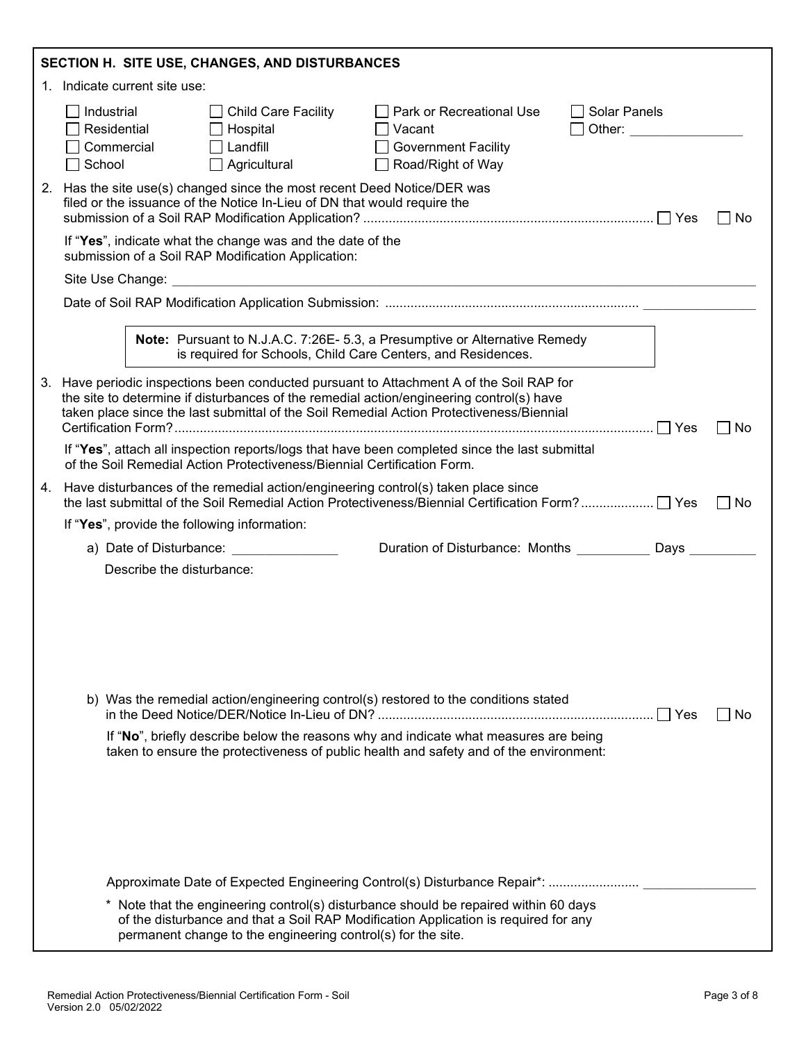| SECTION H. SITE USE, CHANGES, AND DISTURBANCES |                                                                                                                                                                                                                                                                                           |  |    |  |  |
|------------------------------------------------|-------------------------------------------------------------------------------------------------------------------------------------------------------------------------------------------------------------------------------------------------------------------------------------------|--|----|--|--|
|                                                | 1. Indicate current site use:                                                                                                                                                                                                                                                             |  |    |  |  |
|                                                | Industrial<br><b>Solar Panels</b><br><b>Child Care Facility</b><br>│ │ Park or Recreational Use<br>Residential<br>Hospital<br>Other: <b>Communication</b><br>Vacant<br>Landfill<br>Commercial<br><b>Government Facility</b><br>Road/Right of Way<br>Agricultural<br>School                |  |    |  |  |
|                                                | 2. Has the site use(s) changed since the most recent Deed Notice/DER was<br>filed or the issuance of the Notice In-Lieu of DN that would require the                                                                                                                                      |  | No |  |  |
|                                                | If "Yes", indicate what the change was and the date of the<br>submission of a Soil RAP Modification Application:                                                                                                                                                                          |  |    |  |  |
|                                                |                                                                                                                                                                                                                                                                                           |  |    |  |  |
|                                                |                                                                                                                                                                                                                                                                                           |  |    |  |  |
|                                                | Note: Pursuant to N.J.A.C. 7:26E- 5.3, a Presumptive or Alternative Remedy<br>is required for Schools, Child Care Centers, and Residences.                                                                                                                                                |  |    |  |  |
|                                                | 3. Have periodic inspections been conducted pursuant to Attachment A of the Soil RAP for<br>the site to determine if disturbances of the remedial action/engineering control(s) have<br>taken place since the last submittal of the Soil Remedial Action Protectiveness/Biennial<br>∣ ∣No |  |    |  |  |
|                                                | If "Yes", attach all inspection reports/logs that have been completed since the last submittal<br>of the Soil Remedial Action Protectiveness/Biennial Certification Form.                                                                                                                 |  |    |  |  |
|                                                | 4. Have disturbances of the remedial action/engineering control(s) taken place since<br>the last submittal of the Soil Remedial Action Protectiveness/Biennial Certification Form?    Yes                                                                                                 |  | No |  |  |
|                                                | If "Yes", provide the following information:                                                                                                                                                                                                                                              |  |    |  |  |
|                                                | Duration of Disturbance: Months ____________ Days<br>a) Date of Disturbance:                                                                                                                                                                                                              |  |    |  |  |
|                                                | Describe the disturbance:                                                                                                                                                                                                                                                                 |  |    |  |  |
|                                                | b) Was the remedial action/engineering control(s) restored to the conditions stated<br>If "No", briefly describe below the reasons why and indicate what measures are being<br>taken to ensure the protectiveness of public health and safety and of the environment:                     |  | No |  |  |
|                                                | Approximate Date of Expected Engineering Control(s) Disturbance Repair*:<br>* Note that the engineering control(s) disturbance should be repaired within 60 days                                                                                                                          |  |    |  |  |
|                                                | of the disturbance and that a Soil RAP Modification Application is required for any<br>permanent change to the engineering control(s) for the site.                                                                                                                                       |  |    |  |  |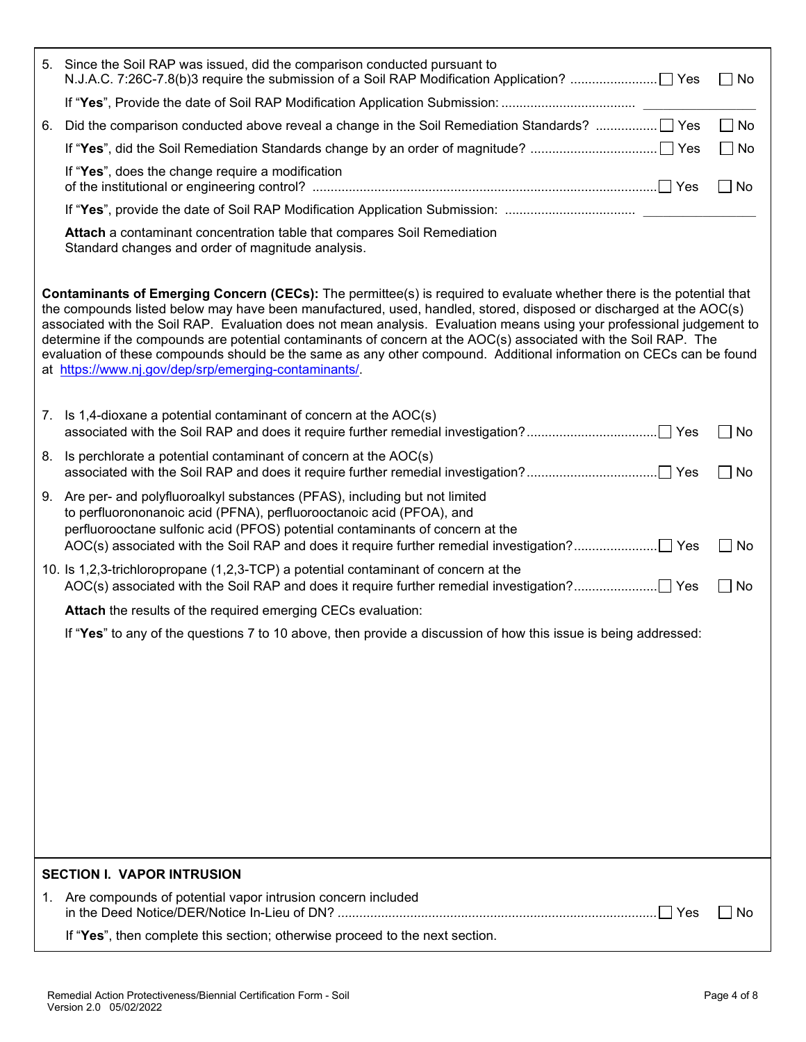|                                                                                                                                                                                                                                                                                                                                                                                                                                                                                                                                                                                                                                                                           | 5. Since the Soil RAP was issued, did the comparison conducted pursuant to<br>$\Box$ No                                                                                                                                                            |  |  |  |
|---------------------------------------------------------------------------------------------------------------------------------------------------------------------------------------------------------------------------------------------------------------------------------------------------------------------------------------------------------------------------------------------------------------------------------------------------------------------------------------------------------------------------------------------------------------------------------------------------------------------------------------------------------------------------|----------------------------------------------------------------------------------------------------------------------------------------------------------------------------------------------------------------------------------------------------|--|--|--|
|                                                                                                                                                                                                                                                                                                                                                                                                                                                                                                                                                                                                                                                                           |                                                                                                                                                                                                                                                    |  |  |  |
| 6.                                                                                                                                                                                                                                                                                                                                                                                                                                                                                                                                                                                                                                                                        | $\Box$ No<br>Did the comparison conducted above reveal a change in the Soil Remediation Standards?  Yes                                                                                                                                            |  |  |  |
|                                                                                                                                                                                                                                                                                                                                                                                                                                                                                                                                                                                                                                                                           | $\Box$ No                                                                                                                                                                                                                                          |  |  |  |
|                                                                                                                                                                                                                                                                                                                                                                                                                                                                                                                                                                                                                                                                           | If "Yes", does the change require a modification<br>$\Box$ No                                                                                                                                                                                      |  |  |  |
|                                                                                                                                                                                                                                                                                                                                                                                                                                                                                                                                                                                                                                                                           | If "Yes", provide the date of Soil RAP Modification Application Submission:                                                                                                                                                                        |  |  |  |
|                                                                                                                                                                                                                                                                                                                                                                                                                                                                                                                                                                                                                                                                           | Attach a contaminant concentration table that compares Soil Remediation<br>Standard changes and order of magnitude analysis.                                                                                                                       |  |  |  |
| Contaminants of Emerging Concern (CECs): The permittee(s) is required to evaluate whether there is the potential that<br>the compounds listed below may have been manufactured, used, handled, stored, disposed or discharged at the AOC(s)<br>associated with the Soil RAP. Evaluation does not mean analysis. Evaluation means using your professional judgement to<br>determine if the compounds are potential contaminants of concern at the AOC(s) associated with the Soil RAP. The<br>evaluation of these compounds should be the same as any other compound. Additional information on CECs can be found<br>at https://www.nj.gov/dep/srp/emerging-contaminants/. |                                                                                                                                                                                                                                                    |  |  |  |
|                                                                                                                                                                                                                                                                                                                                                                                                                                                                                                                                                                                                                                                                           | 7. Is 1,4-dioxane a potential contaminant of concern at the AOC(s)<br>$\Box$ No                                                                                                                                                                    |  |  |  |
|                                                                                                                                                                                                                                                                                                                                                                                                                                                                                                                                                                                                                                                                           | 8. Is perchlorate a potential contaminant of concern at the AOC(s)<br>$\Box$ No                                                                                                                                                                    |  |  |  |
|                                                                                                                                                                                                                                                                                                                                                                                                                                                                                                                                                                                                                                                                           | 9. Are per- and polyfluoroalkyl substances (PFAS), including but not limited<br>to perfluorononanoic acid (PFNA), perfluorooctanoic acid (PFOA), and<br>perfluorooctane sulfonic acid (PFOS) potential contaminants of concern at the<br>$\Box$ No |  |  |  |
|                                                                                                                                                                                                                                                                                                                                                                                                                                                                                                                                                                                                                                                                           | 10. Is 1,2,3-trichloropropane (1,2,3-TCP) a potential contaminant of concern at the<br>$\Box$ No                                                                                                                                                   |  |  |  |
|                                                                                                                                                                                                                                                                                                                                                                                                                                                                                                                                                                                                                                                                           | Attach the results of the required emerging CECs evaluation:                                                                                                                                                                                       |  |  |  |
|                                                                                                                                                                                                                                                                                                                                                                                                                                                                                                                                                                                                                                                                           | If "Yes" to any of the questions 7 to 10 above, then provide a discussion of how this issue is being addressed:                                                                                                                                    |  |  |  |
|                                                                                                                                                                                                                                                                                                                                                                                                                                                                                                                                                                                                                                                                           |                                                                                                                                                                                                                                                    |  |  |  |
|                                                                                                                                                                                                                                                                                                                                                                                                                                                                                                                                                                                                                                                                           |                                                                                                                                                                                                                                                    |  |  |  |
|                                                                                                                                                                                                                                                                                                                                                                                                                                                                                                                                                                                                                                                                           | <b>SECTION I. VAPOR INTRUSION</b>                                                                                                                                                                                                                  |  |  |  |
|                                                                                                                                                                                                                                                                                                                                                                                                                                                                                                                                                                                                                                                                           | 1. Are compounds of potential vapor intrusion concern included<br>No                                                                                                                                                                               |  |  |  |
|                                                                                                                                                                                                                                                                                                                                                                                                                                                                                                                                                                                                                                                                           | If "Yes", then complete this section; otherwise proceed to the next section.                                                                                                                                                                       |  |  |  |
|                                                                                                                                                                                                                                                                                                                                                                                                                                                                                                                                                                                                                                                                           |                                                                                                                                                                                                                                                    |  |  |  |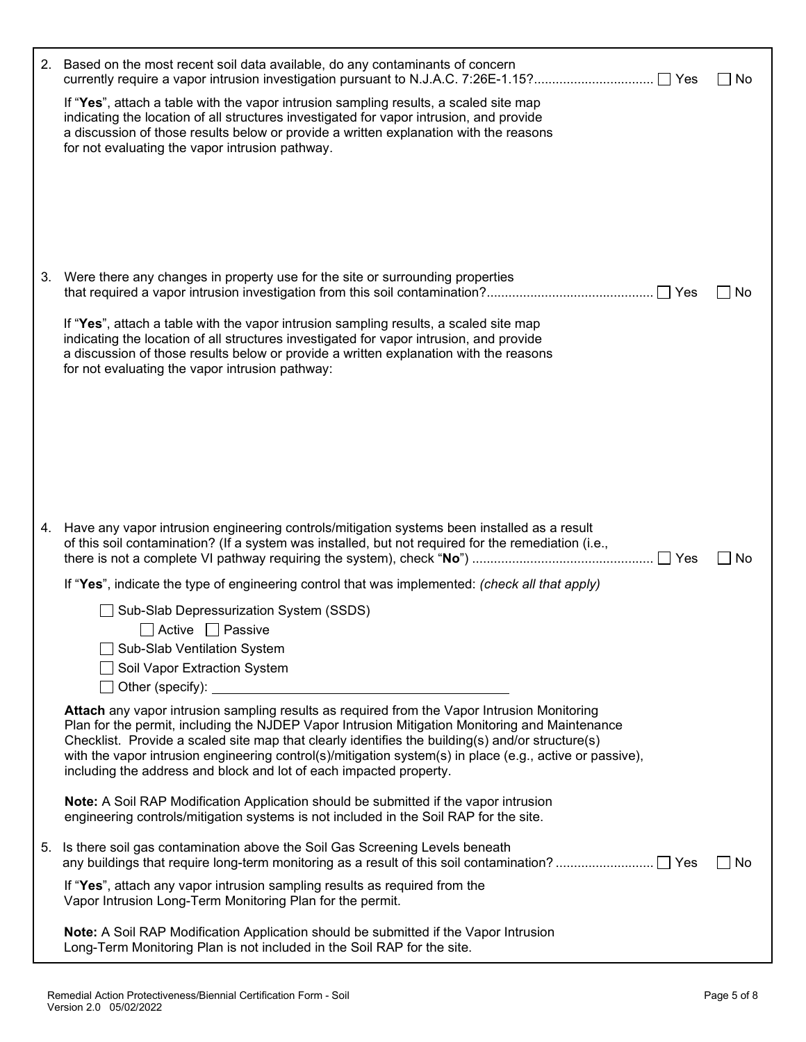|    | 2. Based on the most recent soil data available, do any contaminants of concern                                                                                                                                                                                                                                                                                                                                                                                                     | _  No     |
|----|-------------------------------------------------------------------------------------------------------------------------------------------------------------------------------------------------------------------------------------------------------------------------------------------------------------------------------------------------------------------------------------------------------------------------------------------------------------------------------------|-----------|
|    | If "Yes", attach a table with the vapor intrusion sampling results, a scaled site map<br>indicating the location of all structures investigated for vapor intrusion, and provide<br>a discussion of those results below or provide a written explanation with the reasons<br>for not evaluating the vapor intrusion pathway.                                                                                                                                                        |           |
|    | 3. Were there any changes in property use for the site or surrounding properties                                                                                                                                                                                                                                                                                                                                                                                                    | ∐ No      |
|    | If "Yes", attach a table with the vapor intrusion sampling results, a scaled site map<br>indicating the location of all structures investigated for vapor intrusion, and provide<br>a discussion of those results below or provide a written explanation with the reasons<br>for not evaluating the vapor intrusion pathway:                                                                                                                                                        |           |
|    |                                                                                                                                                                                                                                                                                                                                                                                                                                                                                     |           |
|    |                                                                                                                                                                                                                                                                                                                                                                                                                                                                                     |           |
|    | 4. Have any vapor intrusion engineering controls/mitigation systems been installed as a result<br>of this soil contamination? (If a system was installed, but not required for the remediation (i.e.,                                                                                                                                                                                                                                                                               | No        |
|    | If "Yes", indicate the type of engineering control that was implemented: (check all that apply)                                                                                                                                                                                                                                                                                                                                                                                     |           |
|    | Sub-Slab Depressurization System (SSDS)<br>$\Box$ Active $\Box$ Passive                                                                                                                                                                                                                                                                                                                                                                                                             |           |
|    | □ Sub-Slab Ventilation System                                                                                                                                                                                                                                                                                                                                                                                                                                                       |           |
|    | ◯ Soil Vapor Extraction System<br>$\Box$ Other (specify): $\Box$                                                                                                                                                                                                                                                                                                                                                                                                                    |           |
|    | Attach any vapor intrusion sampling results as required from the Vapor Intrusion Monitoring<br>Plan for the permit, including the NJDEP Vapor Intrusion Mitigation Monitoring and Maintenance<br>Checklist. Provide a scaled site map that clearly identifies the building(s) and/or structure(s)<br>with the vapor intrusion engineering control(s)/mitigation system(s) in place (e.g., active or passive),<br>including the address and block and lot of each impacted property. |           |
|    | Note: A Soil RAP Modification Application should be submitted if the vapor intrusion<br>engineering controls/mitigation systems is not included in the Soil RAP for the site.                                                                                                                                                                                                                                                                                                       |           |
| 5. | Is there soil gas contamination above the Soil Gas Screening Levels beneath                                                                                                                                                                                                                                                                                                                                                                                                         | $\Box$ No |
|    | If "Yes", attach any vapor intrusion sampling results as required from the<br>Vapor Intrusion Long-Term Monitoring Plan for the permit.                                                                                                                                                                                                                                                                                                                                             |           |
|    | Note: A Soil RAP Modification Application should be submitted if the Vapor Intrusion<br>Long-Term Monitoring Plan is not included in the Soil RAP for the site.                                                                                                                                                                                                                                                                                                                     |           |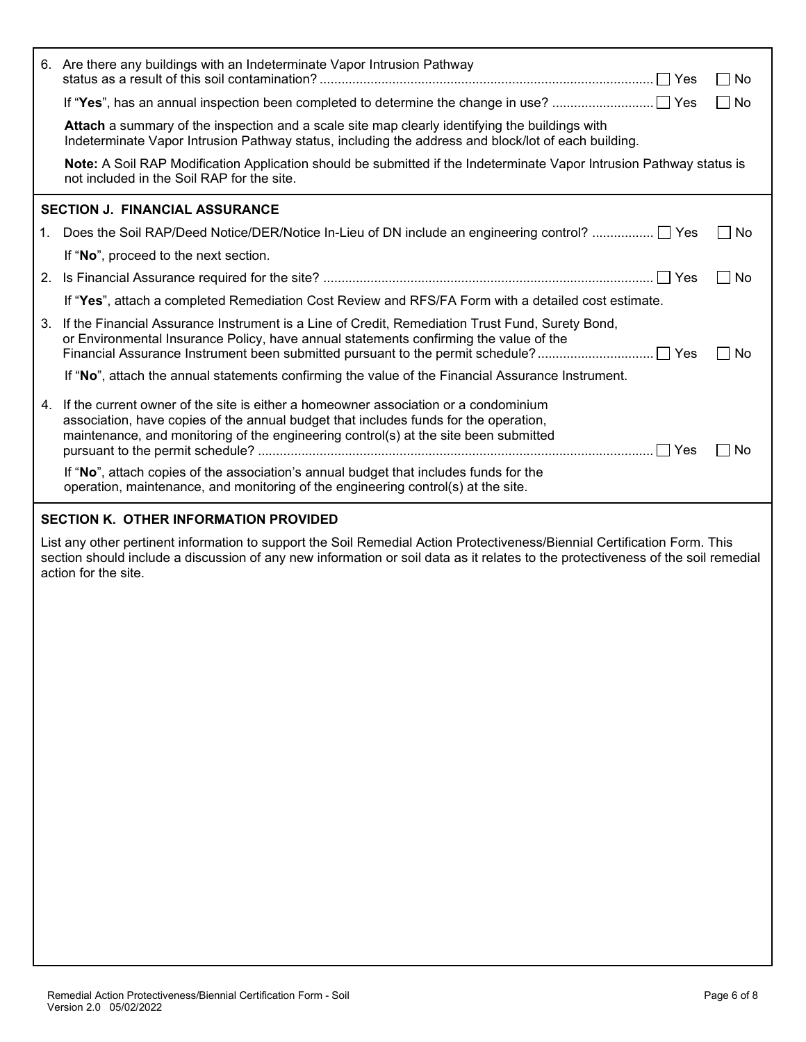|                                       | 6. Are there any buildings with an Indeterminate Vapor Intrusion Pathway                                                                                                                                                                                            | l INo                       |  |
|---------------------------------------|---------------------------------------------------------------------------------------------------------------------------------------------------------------------------------------------------------------------------------------------------------------------|-----------------------------|--|
|                                       |                                                                                                                                                                                                                                                                     | l INo                       |  |
|                                       | Attach a summary of the inspection and a scale site map clearly identifying the buildings with<br>Indeterminate Vapor Intrusion Pathway status, including the address and block/lot of each building.                                                               |                             |  |
|                                       | Note: A Soil RAP Modification Application should be submitted if the Indeterminate Vapor Intrusion Pathway status is<br>not included in the Soil RAP for the site.                                                                                                  |                             |  |
|                                       | <b>SECTION J. FINANCIAL ASSURANCE</b>                                                                                                                                                                                                                               |                             |  |
| 1.                                    | Does the Soil RAP/Deed Notice/DER/Notice In-Lieu of DN include an engineering control?  □ Yes                                                                                                                                                                       | No                          |  |
|                                       | If "No", proceed to the next section.                                                                                                                                                                                                                               |                             |  |
| 2.                                    |                                                                                                                                                                                                                                                                     | <b>No</b><br>$\blacksquare$ |  |
|                                       | If "Yes", attach a completed Remediation Cost Review and RFS/FA Form with a detailed cost estimate.                                                                                                                                                                 |                             |  |
| 3.                                    | If the Financial Assurance Instrument is a Line of Credit, Remediation Trust Fund, Surety Bond,<br>or Environmental Insurance Policy, have annual statements confirming the value of the                                                                            | $\Box$ No                   |  |
|                                       | If "No", attach the annual statements confirming the value of the Financial Assurance Instrument.                                                                                                                                                                   |                             |  |
| 4.                                    | If the current owner of the site is either a homeowner association or a condominium<br>association, have copies of the annual budget that includes funds for the operation,<br>maintenance, and monitoring of the engineering control(s) at the site been submitted | No                          |  |
|                                       | If "No", attach copies of the association's annual budget that includes funds for the<br>operation, maintenance, and monitoring of the engineering control(s) at the site.                                                                                          |                             |  |
| SECTION K. OTUED INEODMATION DROVIDED |                                                                                                                                                                                                                                                                     |                             |  |

## **SECTION K. OTHER INFORMATION PROVIDED**

List any other pertinent information to support the Soil Remedial Action Protectiveness/Biennial Certification Form. This section should include a discussion of any new information or soil data as it relates to the protectiveness of the soil remedial action for the site.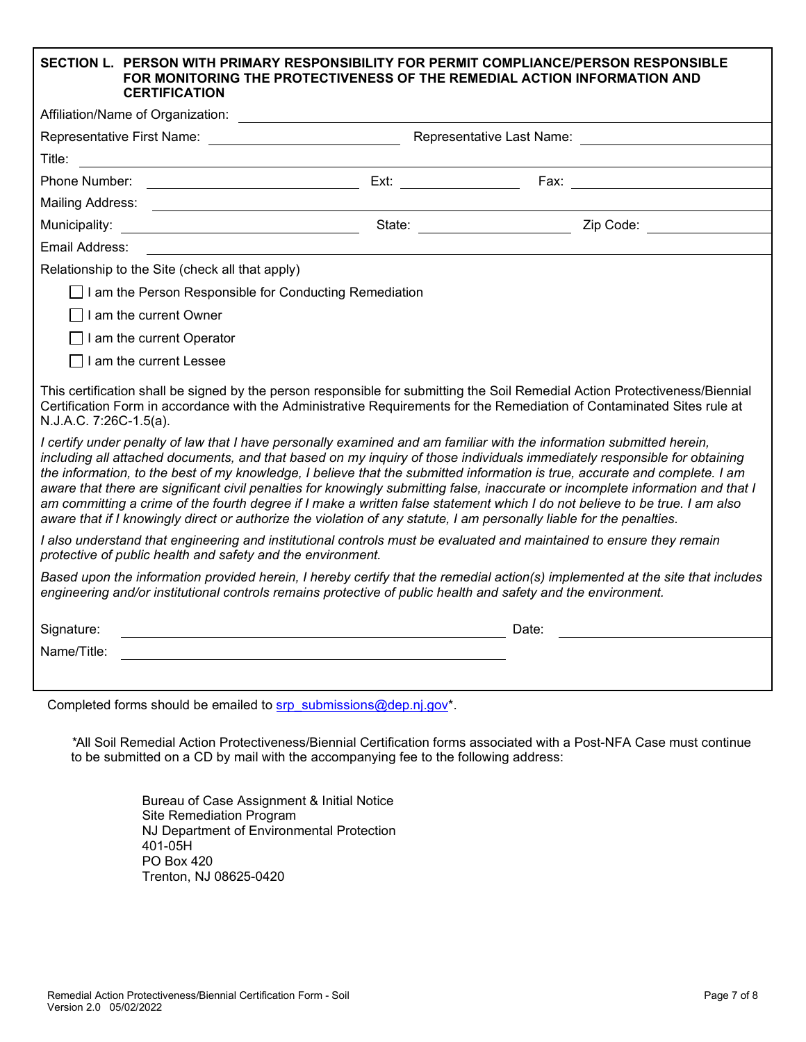## **SECTION L. PERSON WITH PRIMARY RESPONSIBILITY FOR PERMIT COMPLIANCE/PERSON RESPONSIBLE FOR MONITORING THE PROTECTIVENESS OF THE REMEDIAL ACTION INFORMATION AND**

| <b>CERTIFICATION</b>                                                                                                                                                                                                                                                                                                                                                                                                                                                                                                                                                                                                                                                                                                                                                                                                                                                                                                                                                                                                                                               |  |                                                |  |
|--------------------------------------------------------------------------------------------------------------------------------------------------------------------------------------------------------------------------------------------------------------------------------------------------------------------------------------------------------------------------------------------------------------------------------------------------------------------------------------------------------------------------------------------------------------------------------------------------------------------------------------------------------------------------------------------------------------------------------------------------------------------------------------------------------------------------------------------------------------------------------------------------------------------------------------------------------------------------------------------------------------------------------------------------------------------|--|------------------------------------------------|--|
| Affiliation/Name of Organization:                                                                                                                                                                                                                                                                                                                                                                                                                                                                                                                                                                                                                                                                                                                                                                                                                                                                                                                                                                                                                                  |  |                                                |  |
|                                                                                                                                                                                                                                                                                                                                                                                                                                                                                                                                                                                                                                                                                                                                                                                                                                                                                                                                                                                                                                                                    |  |                                                |  |
|                                                                                                                                                                                                                                                                                                                                                                                                                                                                                                                                                                                                                                                                                                                                                                                                                                                                                                                                                                                                                                                                    |  |                                                |  |
| Phone Number:                                                                                                                                                                                                                                                                                                                                                                                                                                                                                                                                                                                                                                                                                                                                                                                                                                                                                                                                                                                                                                                      |  |                                                |  |
|                                                                                                                                                                                                                                                                                                                                                                                                                                                                                                                                                                                                                                                                                                                                                                                                                                                                                                                                                                                                                                                                    |  |                                                |  |
| Municipality:                                                                                                                                                                                                                                                                                                                                                                                                                                                                                                                                                                                                                                                                                                                                                                                                                                                                                                                                                                                                                                                      |  | State: Call Change of Capital Change Cip Code: |  |
| Email Address:                                                                                                                                                                                                                                                                                                                                                                                                                                                                                                                                                                                                                                                                                                                                                                                                                                                                                                                                                                                                                                                     |  |                                                |  |
| Relationship to the Site (check all that apply)                                                                                                                                                                                                                                                                                                                                                                                                                                                                                                                                                                                                                                                                                                                                                                                                                                                                                                                                                                                                                    |  |                                                |  |
| □ I am the Person Responsible for Conducting Remediation                                                                                                                                                                                                                                                                                                                                                                                                                                                                                                                                                                                                                                                                                                                                                                                                                                                                                                                                                                                                           |  |                                                |  |
| I am the current Owner                                                                                                                                                                                                                                                                                                                                                                                                                                                                                                                                                                                                                                                                                                                                                                                                                                                                                                                                                                                                                                             |  |                                                |  |
| $\Box$ I am the current Operator                                                                                                                                                                                                                                                                                                                                                                                                                                                                                                                                                                                                                                                                                                                                                                                                                                                                                                                                                                                                                                   |  |                                                |  |
| $\Box$ I am the current Lessee                                                                                                                                                                                                                                                                                                                                                                                                                                                                                                                                                                                                                                                                                                                                                                                                                                                                                                                                                                                                                                     |  |                                                |  |
| This certification shall be signed by the person responsible for submitting the Soil Remedial Action Protectiveness/Biennial<br>Certification Form in accordance with the Administrative Requirements for the Remediation of Contaminated Sites rule at<br>N.J.A.C. 7:26C-1.5(a).<br>I certify under penalty of law that I have personally examined and am familiar with the information submitted herein,<br>including all attached documents, and that based on my inquiry of those individuals immediately responsible for obtaining<br>the information, to the best of my knowledge, I believe that the submitted information is true, accurate and complete. I am<br>aware that there are significant civil penalties for knowingly submitting false, inaccurate or incomplete information and that I<br>am committing a crime of the fourth degree if I make a written false statement which I do not believe to be true. I am also<br>aware that if I knowingly direct or authorize the violation of any statute, I am personally liable for the penalties. |  |                                                |  |
| I also understand that engineering and institutional controls must be evaluated and maintained to ensure they remain<br>protective of public health and safety and the environment.                                                                                                                                                                                                                                                                                                                                                                                                                                                                                                                                                                                                                                                                                                                                                                                                                                                                                |  |                                                |  |
| Based upon the information provided herein, I hereby certify that the remedial action(s) implemented at the site that includes<br>engineering and/or institutional controls remains protective of public health and safety and the environment.                                                                                                                                                                                                                                                                                                                                                                                                                                                                                                                                                                                                                                                                                                                                                                                                                    |  |                                                |  |
| Signature:                                                                                                                                                                                                                                                                                                                                                                                                                                                                                                                                                                                                                                                                                                                                                                                                                                                                                                                                                                                                                                                         |  | Date:                                          |  |
| Name/Title:                                                                                                                                                                                                                                                                                                                                                                                                                                                                                                                                                                                                                                                                                                                                                                                                                                                                                                                                                                                                                                                        |  |                                                |  |
|                                                                                                                                                                                                                                                                                                                                                                                                                                                                                                                                                                                                                                                                                                                                                                                                                                                                                                                                                                                                                                                                    |  |                                                |  |
| Completed forms should be emailed to srp submissions@dep.nj.gov*.                                                                                                                                                                                                                                                                                                                                                                                                                                                                                                                                                                                                                                                                                                                                                                                                                                                                                                                                                                                                  |  |                                                |  |

*\**All Soil Remedial Action Protectiveness/Biennial Certification forms associated with a Post-NFA Case must continue to be submitted on a CD by mail with the accompanying fee to the following address:

> Bureau of Case Assignment & Initial Notice Site Remediation Program NJ Department of Environmental Protection 401-05H PO Box 420 Trenton, NJ 08625-0420